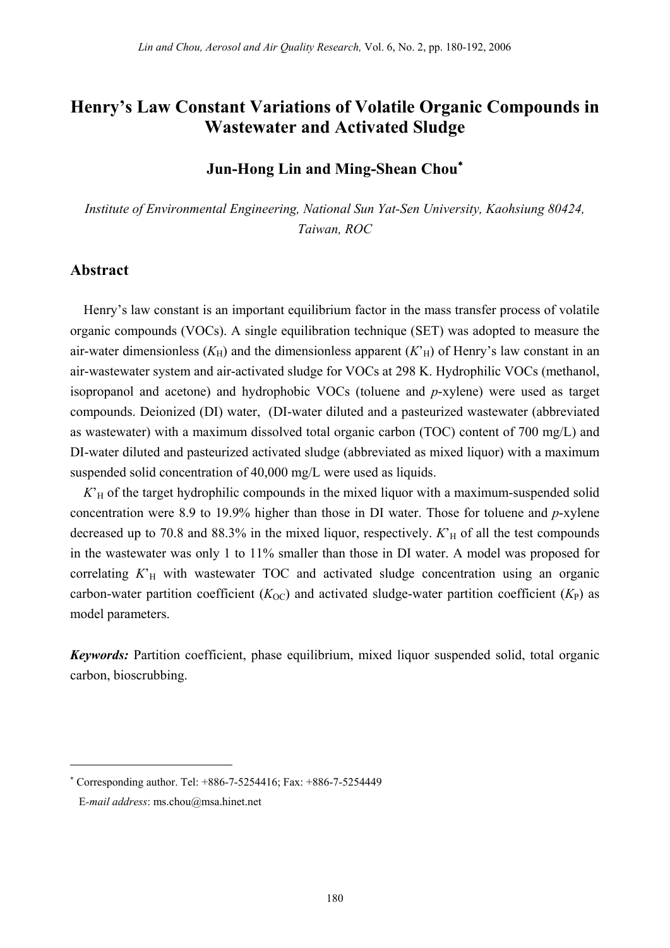# **Henry's Law Constant Variations of Volatile Organic Compounds in Wastewater and Activated Sludge**

## **Jun-Hong Lin and Ming-Shean Chou**<sup>∗</sup>

*Institute of Environmental Engineering, National Sun Yat-Sen University, Kaohsiung 80424, Taiwan, ROC* 

#### **Abstract**

Henry's law constant is an important equilibrium factor in the mass transfer process of volatile organic compounds (VOCs). A single equilibration technique (SET) was adopted to measure the air-water dimensionless  $(K_H)$  and the dimensionless apparent  $(K_H)$  of Henry's law constant in an air-wastewater system and air-activated sludge for VOCs at 298 K. Hydrophilic VOCs (methanol, isopropanol and acetone) and hydrophobic VOCs (toluene and *p*-xylene) were used as target compounds. Deionized (DI) water, (DI-water diluted and a pasteurized wastewater (abbreviated as wastewater) with a maximum dissolved total organic carbon (TOC) content of 700 mg/L) and DI-water diluted and pasteurized activated sludge (abbreviated as mixed liquor) with a maximum suspended solid concentration of 40,000 mg/L were used as liquids.

 $K<sub>H</sub>$  of the target hydrophilic compounds in the mixed liquor with a maximum-suspended solid concentration were 8.9 to 19.9% higher than those in DI water. Those for toluene and *p*-xylene decreased up to 70.8 and 88.3% in the mixed liquor, respectively.  $K<sub>H</sub>$  of all the test compounds in the wastewater was only 1 to 11% smaller than those in DI water. A model was proposed for correlating  $K<sub>H</sub>$  with wastewater TOC and activated sludge concentration using an organic carbon-water partition coefficient  $(K_{OC})$  and activated sludge-water partition coefficient  $(K_P)$  as model parameters.

*Keywords:* Partition coefficient, phase equilibrium, mixed liquor suspended solid, total organic carbon, bioscrubbing.

 $\overline{a}$ 

<sup>∗</sup> Corresponding author. Tel: +886-7-5254416; Fax: +886-7-5254449

E*-mail address*: ms.chou@msa.hinet.net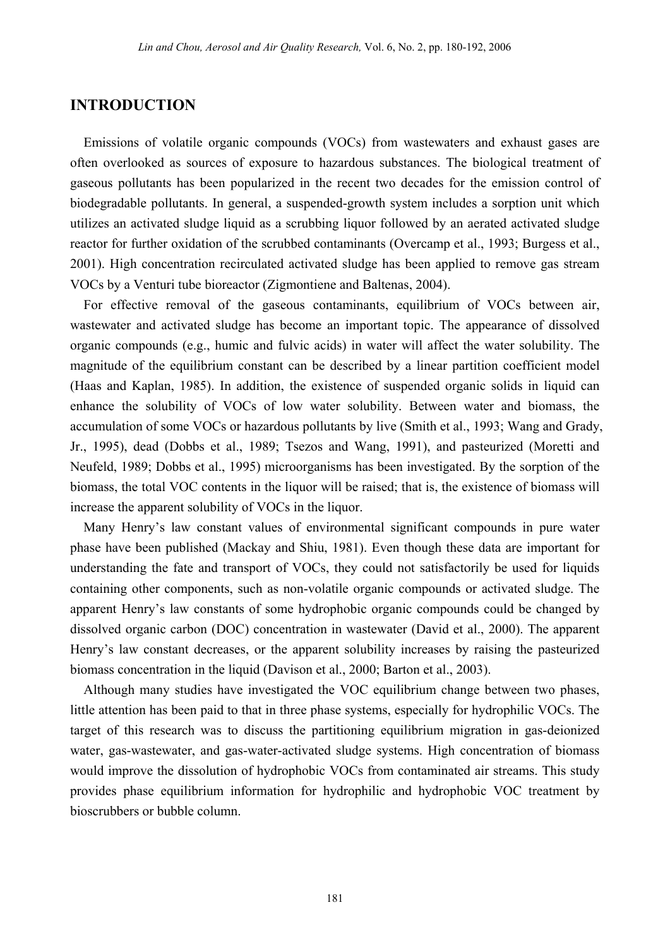### **INTRODUCTION**

Emissions of volatile organic compounds (VOCs) from wastewaters and exhaust gases are often overlooked as sources of exposure to hazardous substances. The biological treatment of gaseous pollutants has been popularized in the recent two decades for the emission control of biodegradable pollutants. In general, a suspended-growth system includes a sorption unit which utilizes an activated sludge liquid as a scrubbing liquor followed by an aerated activated sludge reactor for further oxidation of the scrubbed contaminants (Overcamp et al., 1993; Burgess et al., 2001). High concentration recirculated activated sludge has been applied to remove gas stream VOCs by a Venturi tube bioreactor (Zigmontiene and Baltenas, 2004).

For effective removal of the gaseous contaminants, equilibrium of VOCs between air, wastewater and activated sludge has become an important topic. The appearance of dissolved organic compounds (e.g., humic and fulvic acids) in water will affect the water solubility. The magnitude of the equilibrium constant can be described by a linear partition coefficient model (Haas and Kaplan, 1985). In addition, the existence of suspended organic solids in liquid can enhance the solubility of VOCs of low water solubility. Between water and biomass, the accumulation of some VOCs or hazardous pollutants by live (Smith et al., 1993; Wang and Grady, Jr., 1995), dead (Dobbs et al., 1989; Tsezos and Wang, 1991), and pasteurized (Moretti and Neufeld, 1989; Dobbs et al., 1995) microorganisms has been investigated. By the sorption of the biomass, the total VOC contents in the liquor will be raised; that is, the existence of biomass will increase the apparent solubility of VOCs in the liquor.

Many Henry's law constant values of environmental significant compounds in pure water phase have been published (Mackay and Shiu, 1981). Even though these data are important for understanding the fate and transport of VOCs, they could not satisfactorily be used for liquids containing other components, such as non-volatile organic compounds or activated sludge. The apparent Henry's law constants of some hydrophobic organic compounds could be changed by dissolved organic carbon (DOC) concentration in wastewater (David et al., 2000). The apparent Henry's law constant decreases, or the apparent solubility increases by raising the pasteurized biomass concentration in the liquid (Davison et al., 2000; Barton et al., 2003).

Although many studies have investigated the VOC equilibrium change between two phases, little attention has been paid to that in three phase systems, especially for hydrophilic VOCs. The target of this research was to discuss the partitioning equilibrium migration in gas-deionized water, gas-wastewater, and gas-water-activated sludge systems. High concentration of biomass would improve the dissolution of hydrophobic VOCs from contaminated air streams. This study provides phase equilibrium information for hydrophilic and hydrophobic VOC treatment by bioscrubbers or bubble column.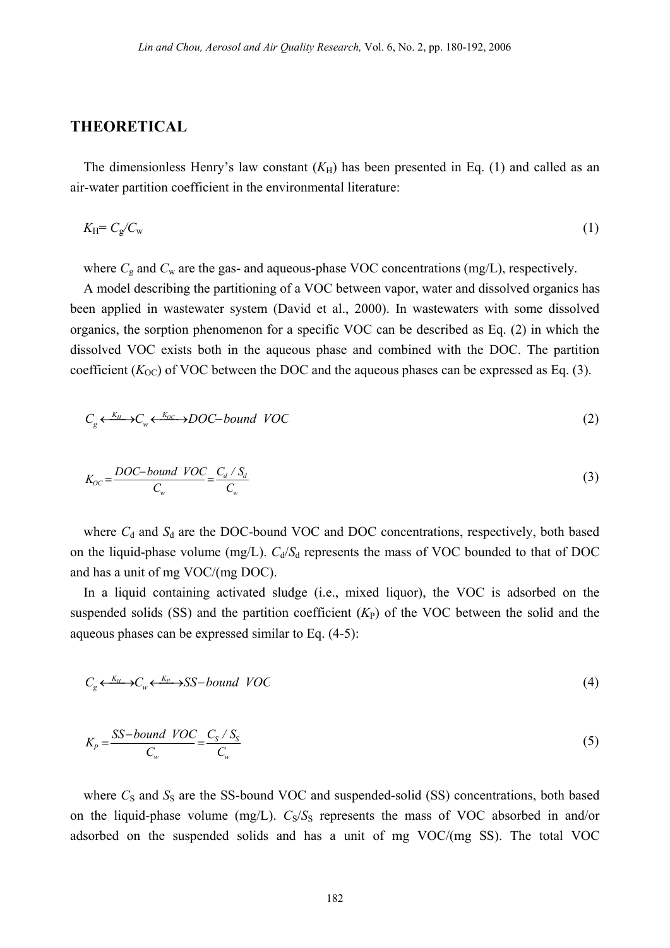#### **THEORETICAL**

The dimensionless Henry's law constant  $(K_H)$  has been presented in Eq. (1) and called as an air-water partition coefficient in the environmental literature:

$$
K_{\rm H} = C_{\rm g}/C_{\rm w} \tag{1}
$$

where  $C_g$  and  $C_w$  are the gas- and aqueous-phase VOC concentrations (mg/L), respectively.

A model describing the partitioning of a VOC between vapor, water and dissolved organics has been applied in wastewater system (David et al., 2000). In wastewaters with some dissolved organics, the sorption phenomenon for a specific VOC can be described as Eq. (2) in which the dissolved VOC exists both in the aqueous phase and combined with the DOC. The partition coefficient  $(K<sub>OC</sub>)$  of VOC between the DOC and the aqueous phases can be expressed as Eq. (3).

$$
C_g \xleftarrow{K_H} C_w \xleftarrow{K_{OC}} DOC-bound \ VOC \tag{2}
$$

$$
K_{OC} = \frac{DOC-bound\ VOC}{C_w} = \frac{C_d \cdot S_d}{C_w} \tag{3}
$$

where  $C_d$  and  $S_d$  are the DOC-bound VOC and DOC concentrations, respectively, both based on the liquid-phase volume (mg/L).  $C_d/S_d$  represents the mass of VOC bounded to that of DOC and has a unit of mg VOC/(mg DOC).

In a liquid containing activated sludge (i.e., mixed liquor), the VOC is adsorbed on the suspended solids (SS) and the partition coefficient  $(K_P)$  of the VOC between the solid and the aqueous phases can be expressed similar to Eq. (4-5):

$$
C_g \xleftarrow{K_H} C_w \xleftarrow{K_P} S_S - bound \ VOC \tag{4}
$$

$$
K_p = \frac{SS-bound\quadVOC}{C_w} = \frac{C_S / S_S}{C_w} \tag{5}
$$

where  $C_S$  and  $S_S$  are the SS-bound VOC and suspended-solid (SS) concentrations, both based on the liquid-phase volume (mg/L).  $C_S/S_S$  represents the mass of VOC absorbed in and/or adsorbed on the suspended solids and has a unit of mg VOC/(mg SS). The total VOC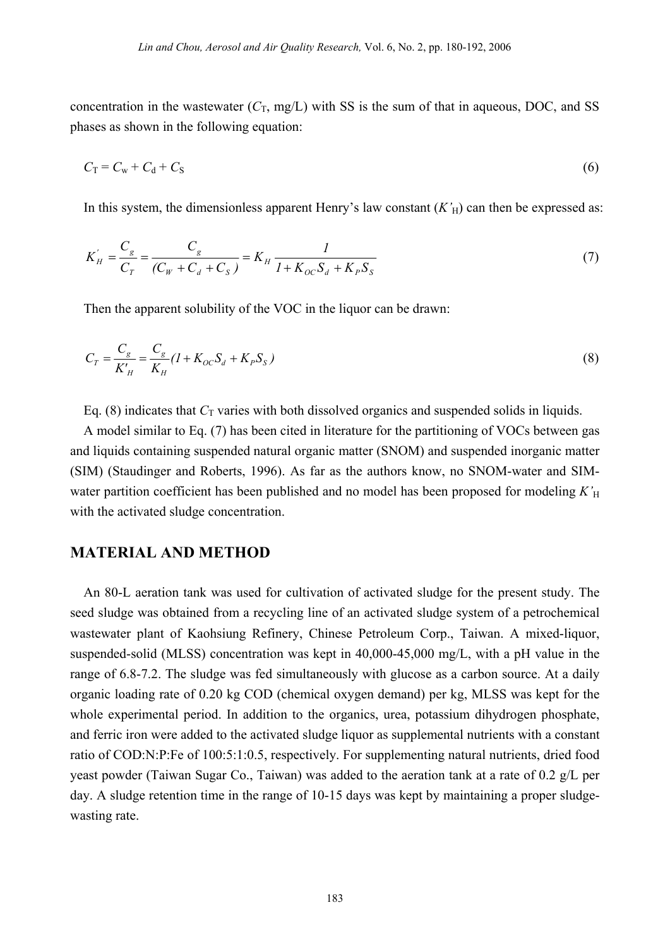concentration in the wastewater  $(C_T, mg/L)$  with SS is the sum of that in aqueous, DOC, and SS phases as shown in the following equation:

$$
C_{\rm T} = C_{\rm w} + C_{\rm d} + C_{\rm S} \tag{6}
$$

In this system, the dimensionless apparent Henry's law constant  $(K<sub>H</sub>)$  can then be expressed as:

$$
K'_{H} = \frac{C_{g}}{C_{T}} = \frac{C_{g}}{(C_{W} + C_{d} + C_{S})} = K_{H} \frac{1}{1 + K_{OC} S_{d} + K_{P} S_{S}}
$$
(7)

Then the apparent solubility of the VOC in the liquor can be drawn:

$$
C_T = \frac{C_g}{K'_H} = \frac{C_g}{K_H} (1 + K_{OC} S_d + K_P S_S)
$$
\n(8)

Eq. (8) indicates that  $C_T$  varies with both dissolved organics and suspended solids in liquids.

A model similar to Eq. (7) has been cited in literature for the partitioning of VOCs between gas and liquids containing suspended natural organic matter (SNOM) and suspended inorganic matter (SIM) (Staudinger and Roberts, 1996). As far as the authors know, no SNOM-water and SIMwater partition coefficient has been published and no model has been proposed for modeling  $K<sub>H</sub>$ with the activated sludge concentration.

### **MATERIAL AND METHOD**

An 80-L aeration tank was used for cultivation of activated sludge for the present study. The seed sludge was obtained from a recycling line of an activated sludge system of a petrochemical wastewater plant of Kaohsiung Refinery, Chinese Petroleum Corp., Taiwan. A mixed-liquor, suspended-solid (MLSS) concentration was kept in 40,000-45,000 mg/L, with a pH value in the range of 6.8-7.2. The sludge was fed simultaneously with glucose as a carbon source. At a daily organic loading rate of 0.20 kg COD (chemical oxygen demand) per kg, MLSS was kept for the whole experimental period. In addition to the organics, urea, potassium dihydrogen phosphate, and ferric iron were added to the activated sludge liquor as supplemental nutrients with a constant ratio of COD:N:P:Fe of 100:5:1:0.5, respectively. For supplementing natural nutrients, dried food yeast powder (Taiwan Sugar Co., Taiwan) was added to the aeration tank at a rate of 0.2 g/L per day. A sludge retention time in the range of 10-15 days was kept by maintaining a proper sludgewasting rate.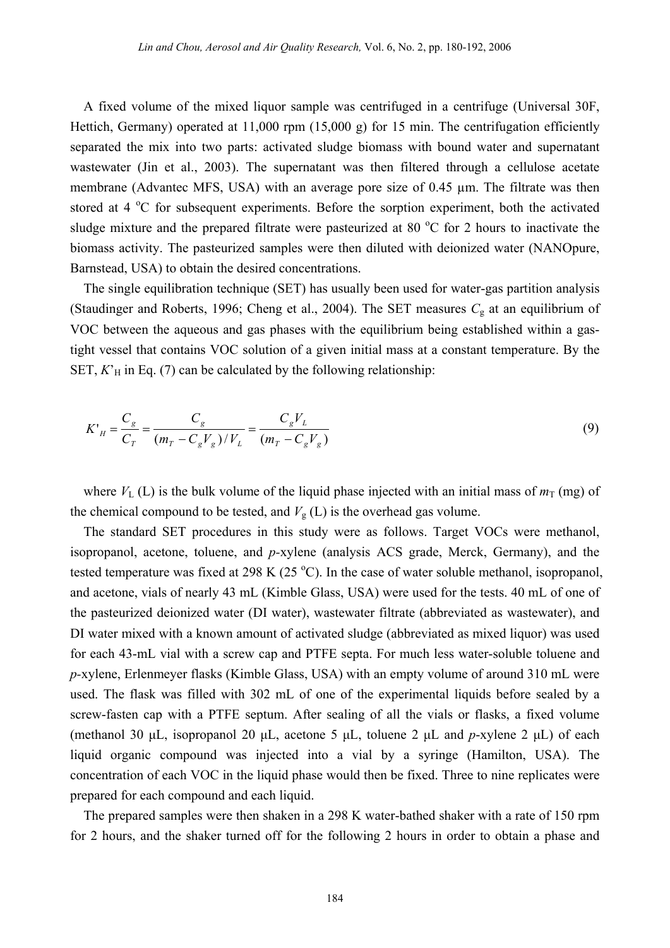A fixed volume of the mixed liquor sample was centrifuged in a centrifuge (Universal 30F, Hettich, Germany) operated at 11,000 rpm (15,000 g) for 15 min. The centrifugation efficiently separated the mix into two parts: activated sludge biomass with bound water and supernatant wastewater (Jin et al., 2003). The supernatant was then filtered through a cellulose acetate membrane (Advantec MFS, USA) with an average pore size of 0.45  $\mu$ m. The filtrate was then stored at 4  $\rm{^oC}$  for subsequent experiments. Before the sorption experiment, both the activated sludge mixture and the prepared filtrate were pasteurized at 80  $^{\circ}$ C for 2 hours to inactivate the biomass activity. The pasteurized samples were then diluted with deionized water (NANOpure, Barnstead, USA) to obtain the desired concentrations.

The single equilibration technique (SET) has usually been used for water-gas partition analysis (Staudinger and Roberts, 1996; Cheng et al., 2004). The SET measures  $C<sub>g</sub>$  at an equilibrium of VOC between the aqueous and gas phases with the equilibrium being established within a gastight vessel that contains VOC solution of a given initial mass at a constant temperature. By the SET,  $K<sup>2</sup>$ <sub>H</sub> in Eq. (7) can be calculated by the following relationship:

$$
K'_{H} = \frac{C_g}{C_T} = \frac{C_g}{(m_T - C_g V_g)/V_L} = \frac{C_g V_L}{(m_T - C_g V_g)}
$$
(9)

where  $V_L(L)$  is the bulk volume of the liquid phase injected with an initial mass of  $m<sub>T</sub>$  (mg) of the chemical compound to be tested, and  $V_g$  (L) is the overhead gas volume.

The standard SET procedures in this study were as follows. Target VOCs were methanol, isopropanol, acetone, toluene, and *p-*xylene (analysis ACS grade, Merck, Germany), and the tested temperature was fixed at 298 K (25  $^{\circ}$ C). In the case of water soluble methanol, isopropanol, and acetone, vials of nearly 43 mL (Kimble Glass, USA) were used for the tests. 40 mL of one of the pasteurized deionized water (DI water), wastewater filtrate (abbreviated as wastewater), and DI water mixed with a known amount of activated sludge (abbreviated as mixed liquor) was used for each 43-mL vial with a screw cap and PTFE septa. For much less water-soluble toluene and *p-*xylene, Erlenmeyer flasks (Kimble Glass, USA) with an empty volume of around 310 mL were used. The flask was filled with 302 mL of one of the experimental liquids before sealed by a screw-fasten cap with a PTFE septum. After sealing of all the vials or flasks, a fixed volume (methanol 30 μL, isopropanol 20 μL, acetone 5 μL, toluene 2 μL and *p*-xylene 2 μL) of each liquid organic compound was injected into a vial by a syringe (Hamilton, USA). The concentration of each VOC in the liquid phase would then be fixed. Three to nine replicates were prepared for each compound and each liquid.

The prepared samples were then shaken in a 298 K water-bathed shaker with a rate of 150 rpm for 2 hours, and the shaker turned off for the following 2 hours in order to obtain a phase and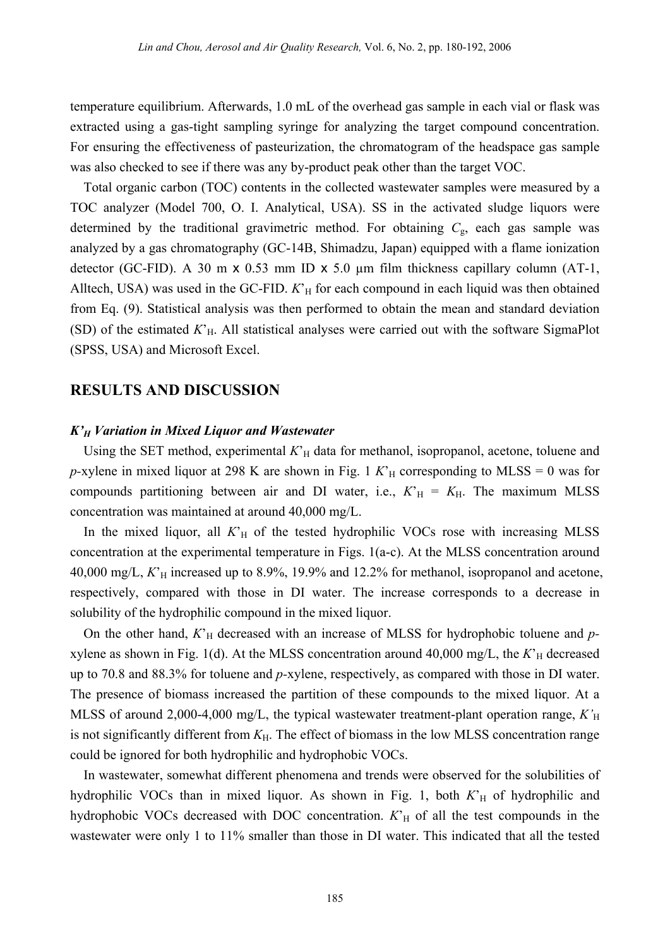temperature equilibrium. Afterwards, 1.0 mL of the overhead gas sample in each vial or flask was extracted using a gas-tight sampling syringe for analyzing the target compound concentration. For ensuring the effectiveness of pasteurization, the chromatogram of the headspace gas sample was also checked to see if there was any by-product peak other than the target VOC.

Total organic carbon (TOC) contents in the collected wastewater samples were measured by a TOC analyzer (Model 700, O. I. Analytical, USA). SS in the activated sludge liquors were determined by the traditional gravimetric method. For obtaining  $C_{\rm g}$ , each gas sample was analyzed by a gas chromatography (GC-14B, Shimadzu, Japan) equipped with a flame ionization detector (GC-FID). A 30 m x 0.53 mm ID x 5.0 µm film thickness capillary column (AT-1, Alltech, USA) was used in the GC-FID.  $K<sub>H</sub>$  for each compound in each liquid was then obtained from Eq. (9). Statistical analysis was then performed to obtain the mean and standard deviation (SD) of the estimated  $K<sub>H</sub>$ . All statistical analyses were carried out with the software SigmaPlot (SPSS, USA) and Microsoft Excel.

### **RESULTS AND DISCUSSION**

#### *K'H Variation in Mixed Liquor and Wastewater*

Using the SET method, experimental  $K<sub>H</sub>$  data for methanol, isopropanol, acetone, toluene and *p*-xylene in mixed liquor at 298 K are shown in Fig. 1  $K<sub>H</sub>$  corresponding to MLSS = 0 was for compounds partitioning between air and DI water, i.e.,  $K<sub>H</sub> = K<sub>H</sub>$ . The maximum MLSS concentration was maintained at around 40,000 mg/L.

In the mixed liquor, all  $K<sub>H</sub>$  of the tested hydrophilic VOCs rose with increasing MLSS concentration at the experimental temperature in Figs. 1(a-c). At the MLSS concentration around 40,000 mg/L,  $K<sub>H</sub>$  increased up to 8.9%, 19.9% and 12.2% for methanol, isopropanol and acetone, respectively, compared with those in DI water. The increase corresponds to a decrease in solubility of the hydrophilic compound in the mixed liquor.

On the other hand,  $K<sub>H</sub>$  decreased with an increase of MLSS for hydrophobic toluene and  $p$ xylene as shown in Fig. 1(d). At the MLSS concentration around  $40,000$  mg/L, the  $K<sub>H</sub>$  decreased up to 70.8 and 88.3% for toluene and *p-*xylene, respectively, as compared with those in DI water. The presence of biomass increased the partition of these compounds to the mixed liquor. At a MLSS of around 2,000-4,000 mg/L, the typical wastewater treatment-plant operation range, *K*<sup>'</sup><sub>H</sub> is not significantly different from  $K_H$ . The effect of biomass in the low MLSS concentration range could be ignored for both hydrophilic and hydrophobic VOCs.

In wastewater, somewhat different phenomena and trends were observed for the solubilities of hydrophilic VOCs than in mixed liquor. As shown in Fig. 1, both  $K<sup>2</sup><sub>H</sub>$  of hydrophilic and hydrophobic VOCs decreased with DOC concentration.  $K<sub>H</sub>$  of all the test compounds in the wastewater were only 1 to 11% smaller than those in DI water. This indicated that all the tested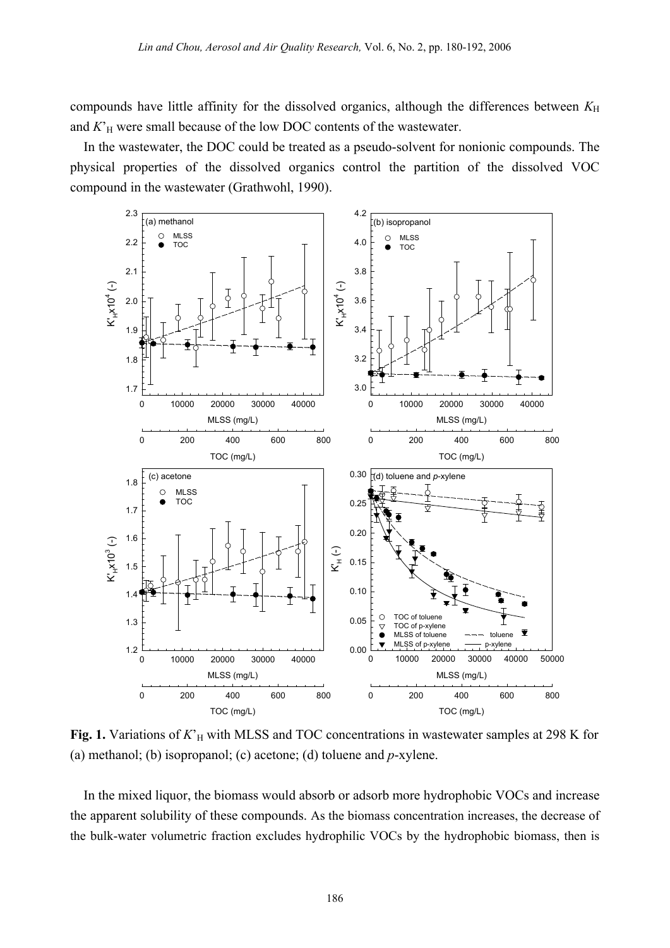compounds have little affinity for the dissolved organics, although the differences between  $K_H$ and  $K<sub>H</sub>$  were small because of the low DOC contents of the wastewater.

In the wastewater, the DOC could be treated as a pseudo-solvent for nonionic compounds. The physical properties of the dissolved organics control the partition of the dissolved VOC compound in the wastewater (Grathwohl, 1990).



**Fig. 1.** Variations of  $K<sup>2</sup><sub>H</sub>$  with MLSS and TOC concentrations in wastewater samples at 298 K for (a) methanol; (b) isopropanol; (c) acetone; (d) toluene and *p*-xylene.

In the mixed liquor, the biomass would absorb or adsorb more hydrophobic VOCs and increase the apparent solubility of these compounds. As the biomass concentration increases, the decrease of the bulk-water volumetric fraction excludes hydrophilic VOCs by the hydrophobic biomass, then is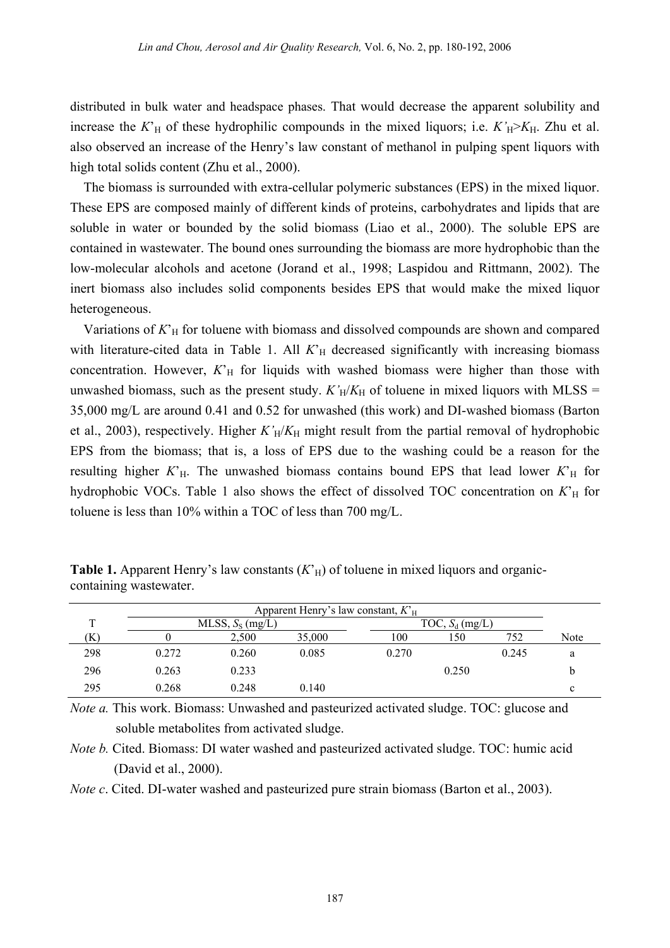distributed in bulk water and headspace phases. That would decrease the apparent solubility and increase the  $K<sup>th</sup>$  of these hydrophilic compounds in the mixed liquors; i.e.  $K<sup>th</sup>$ <sub>H</sub>> $K<sub>H</sub>$ . Zhu et al. also observed an increase of the Henry's law constant of methanol in pulping spent liquors with high total solids content (Zhu et al., 2000).

The biomass is surrounded with extra-cellular polymeric substances (EPS) in the mixed liquor. These EPS are composed mainly of different kinds of proteins, carbohydrates and lipids that are soluble in water or bounded by the solid biomass (Liao et al., 2000). The soluble EPS are contained in wastewater. The bound ones surrounding the biomass are more hydrophobic than the low-molecular alcohols and acetone (Jorand et al., 1998; Laspidou and Rittmann, 2002). The inert biomass also includes solid components besides EPS that would make the mixed liquor heterogeneous.

Variations of  $K<sub>H</sub>$  for toluene with biomass and dissolved compounds are shown and compared with literature-cited data in Table 1. All  $K<sub>H</sub>$  decreased significantly with increasing biomass concentration. However,  $K<sub>H</sub>$  for liquids with washed biomass were higher than those with unwashed biomass, such as the present study.  $K_H/K_H$  of toluene in mixed liquors with MLSS = 35,000 mg/L are around 0.41 and 0.52 for unwashed (this work) and DI-washed biomass (Barton et al., 2003), respectively. Higher  $K'_H/K_H$  might result from the partial removal of hydrophobic EPS from the biomass; that is, a loss of EPS due to the washing could be a reason for the resulting higher  $K<sub>H</sub>$ . The unwashed biomass contains bound EPS that lead lower  $K<sub>H</sub>$  for hydrophobic VOCs. Table 1 also shows the effect of dissolved TOC concentration on  $K<sup>2</sup><sub>H</sub>$  for toluene is less than 10% within a TOC of less than 700 mg/L.

|     |       |                    | Apparent Henry's law constant, $KH$ |       |                   |       |      |
|-----|-------|--------------------|-------------------------------------|-------|-------------------|-------|------|
|     |       | MLSS, $S_S$ (mg/L) |                                     |       | TOC, $S_d$ (mg/L) |       |      |
| Έ   |       | 2.500              | 35,000                              | 100   | l 50              | 752   | Note |
| 298 | 0.272 | 0.260              | 0.085                               | 0.270 |                   | 0.245 |      |
| 296 | 0.263 | 0.233              |                                     |       | 0.250             |       |      |
| 295 | 0.268 | 0.248              | 0.140                               |       |                   |       |      |

**Table 1.** Apparent Henry's law constants  $(K<sub>H</sub>)$  of toluene in mixed liquors and organiccontaining wastewater.

*Note a.* This work. Biomass: Unwashed and pasteurized activated sludge. TOC: glucose and soluble metabolites from activated sludge.

*Note b.* Cited. Biomass: DI water washed and pasteurized activated sludge. TOC: humic acid (David et al., 2000).

*Note c.* Cited. DI-water washed and pasteurized pure strain biomass (Barton et al., 2003).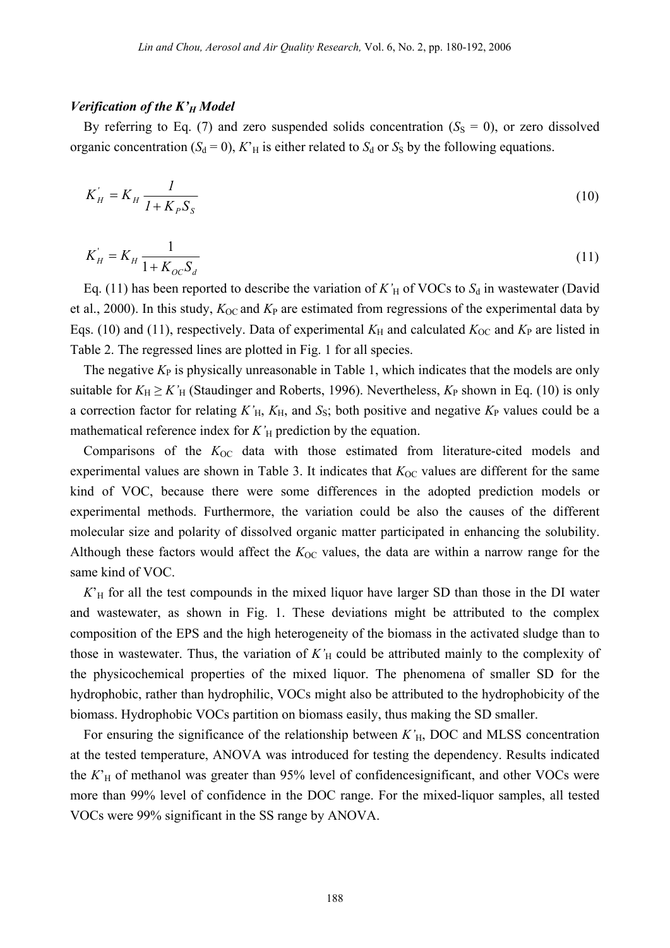#### *Verification of the K'H Model*

By referring to Eq. (7) and zero suspended solids concentration ( $S<sub>S</sub> = 0$ ), or zero dissolved organic concentration  $(S_d = 0)$ ,  $K<sup>T</sup><sub>H</sub>$  is either related to  $S_d$  or  $S_S$  by the following equations.

$$
K_H^{'} = K_H \frac{1}{1 + K_p S_S}
$$
 (10)

$$
K_H' = K_H \frac{1}{1 + K_{OC} S_d}
$$
 (11)

Eq. (11) has been reported to describe the variation of  $K'_H$  of VOCs to  $S_d$  in wastewater (David et al., 2000). In this study,  $K_{OC}$  and  $K_{P}$  are estimated from regressions of the experimental data by Eqs. (10) and (11), respectively. Data of experimental  $K_H$  and calculated  $K_{OC}$  and  $K_P$  are listed in Table 2. The regressed lines are plotted in Fig. 1 for all species.

The negative  $K_{P}$  is physically unreasonable in Table 1, which indicates that the models are only suitable for  $K_H \ge K'_H$  (Staudinger and Roberts, 1996). Nevertheless,  $K_P$  shown in Eq. (10) is only a correction factor for relating  $K<sub>H</sub>$ ,  $K<sub>H</sub>$ , and  $S<sub>S</sub>$ ; both positive and negative  $K<sub>P</sub>$  values could be a mathematical reference index for  $K'_H$  prediction by the equation.

Comparisons of the  $K_{OC}$  data with those estimated from literature-cited models and experimental values are shown in Table 3. It indicates that  $K_{OC}$  values are different for the same kind of VOC, because there were some differences in the adopted prediction models or experimental methods. Furthermore, the variation could be also the causes of the different molecular size and polarity of dissolved organic matter participated in enhancing the solubility. Although these factors would affect the  $K_{OC}$  values, the data are within a narrow range for the same kind of VOC.

 $K<sub>H</sub>$  for all the test compounds in the mixed liquor have larger SD than those in the DI water and wastewater, as shown in Fig. 1. These deviations might be attributed to the complex composition of the EPS and the high heterogeneity of the biomass in the activated sludge than to those in wastewater. Thus, the variation of  $K'_H$  could be attributed mainly to the complexity of the physicochemical properties of the mixed liquor. The phenomena of smaller SD for the hydrophobic, rather than hydrophilic, VOCs might also be attributed to the hydrophobicity of the biomass. Hydrophobic VOCs partition on biomass easily, thus making the SD smaller.

For ensuring the significance of the relationship between *K'*H, DOC and MLSS concentration at the tested temperature, ANOVA was introduced for testing the dependency. Results indicated the  $K<sub>H</sub>$  of methanol was greater than 95% level of confidencesignificant, and other VOCs were more than 99% level of confidence in the DOC range. For the mixed-liquor samples, all tested VOCs were 99% significant in the SS range by ANOVA.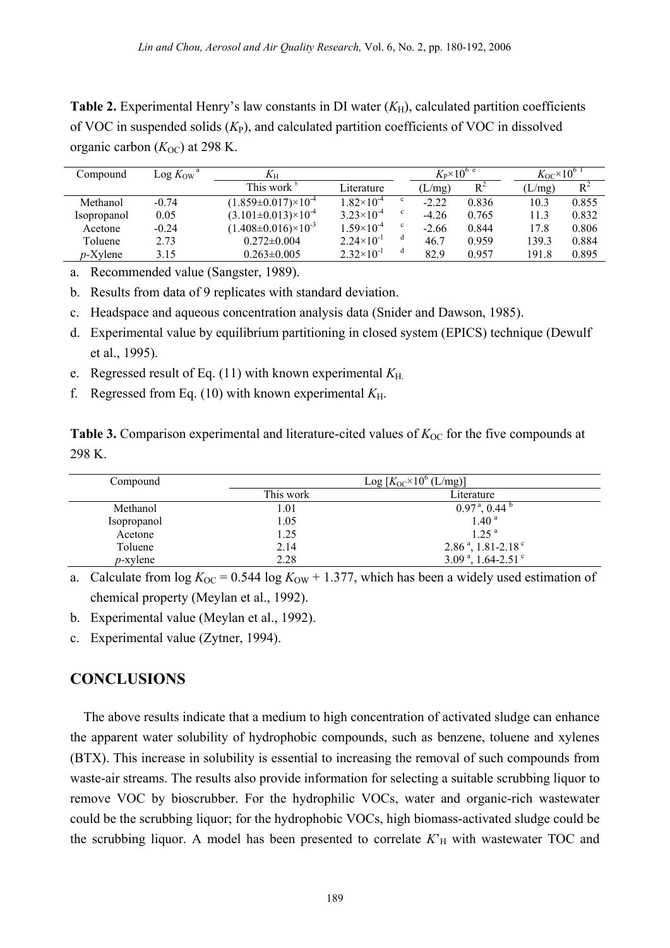**Table 2.** Experimental Henry's law constants in DI water  $(K_H)$ , calculated partition coefficients of VOC in suspended solids (*K*P), and calculated partition coefficients of VOC in dissolved organic carbon  $(K<sub>OC</sub>)$  at 298 K.

| Compound           | $\text{Log } K_{\text{OW}}^{\text{a}}$ | $K_{\rm H}$                        |                       |              | $K_P \times 10^{6}$ e |       | $K_{\rm OC}$ $\times 10^{6}$ |       |
|--------------------|----------------------------------------|------------------------------------|-----------------------|--------------|-----------------------|-------|------------------------------|-------|
|                    |                                        | This work <sup>b</sup>             | Literature            |              | (L/mg)                | $R^2$ | (L/mg)                       | $R^2$ |
| Methanol           | $-0.74$                                | $(1.859 \pm 0.017) \times 10^{-4}$ | $1.82\times10^{-4}$   |              | $-2.22$               | 0.836 | 10.3                         | 0.855 |
| <i>Isopropanol</i> | 0.05                                   | $(3.101 \pm 0.013) \times 10^{-4}$ | $3.23 \times 10^{-4}$ | $\mathbf{c}$ | $-4.26$               | 0.765 | 11.3                         | 0.832 |
| Acetone            | $-0.24$                                | $(1.408 \pm 0.016) \times 10^{-3}$ | $1.59\times10^{-4}$   | $\mathbf{c}$ | $-2.66$               | 0.844 | 17.8                         | 0.806 |
| Toluene            | 2.73                                   | $0.272 \pm 0.004$                  | $2.24\times10^{-1}$   | d            | 46.7                  | 0.959 | 139.3                        | 0.884 |
| $p$ -Xylene        | 3.15                                   | $0.263 \pm 0.005$                  | $2.32\times10^{-1}$   | d            | 82.9                  | 0.957 | 191.8                        | 0.895 |

a. Recommended value (Sangster, 1989).

b. Results from data of 9 replicates with standard deviation.

- c. Headspace and aqueous concentration analysis data (Snider and Dawson, 1985).
- d. Experimental value by equilibrium partitioning in closed system (EPICS) technique (Dewulf et al., 1995).
- e. Regressed result of Eq. (11) with known experimental *K*H.
- f. Regressed from Eq. (10) with known experimental  $K_{\text{H}}$ .

**Table 3.** Comparison experimental and literature-cited values of  $K_{OC}$  for the five compounds at 298 K.

| Compound    | Log $[K_{OC} \times 10^{6} (L/mg)]$ |                                         |  |  |
|-------------|-------------------------------------|-----------------------------------------|--|--|
|             | This work                           | Literature                              |  |  |
| Methanol    | 1.01                                | $0.97^{\text{ a}}$ , 0.44 $^{\text{b}}$ |  |  |
| Isopropanol | 1.05                                | 1.40 <sup>a</sup>                       |  |  |
| Acetone     | 1.25                                | 1.25 <sup>a</sup>                       |  |  |
| Toluene     | 2.14                                | $2.86a$ , 1.81-2.18 <sup>c</sup>        |  |  |
| $p$ -xylene | 2.28                                | 3.09 $^{\circ}$ , 1.64-2.51 $^{\circ}$  |  |  |

a. Calculate from  $\log K_{\text{OC}} = 0.544 \log K_{\text{OW}} + 1.377$ , which has been a widely used estimation of chemical property (Meylan et al., 1992).

b. Experimental value (Meylan et al., 1992).

c. Experimental value (Zytner, 1994).

## **CONCLUSIONS**

The above results indicate that a medium to high concentration of activated sludge can enhance the apparent water solubility of hydrophobic compounds, such as benzene, toluene and xylenes (BTX). This increase in solubility is essential to increasing the removal of such compounds from waste-air streams. The results also provide information for selecting a suitable scrubbing liquor to remove VOC by bioscrubber. For the hydrophilic VOCs, water and organic-rich wastewater could be the scrubbing liquor; for the hydrophobic VOCs, high biomass-activated sludge could be the scrubbing liquor. A model has been presented to correlate  $K<sub>H</sub>$  with wastewater TOC and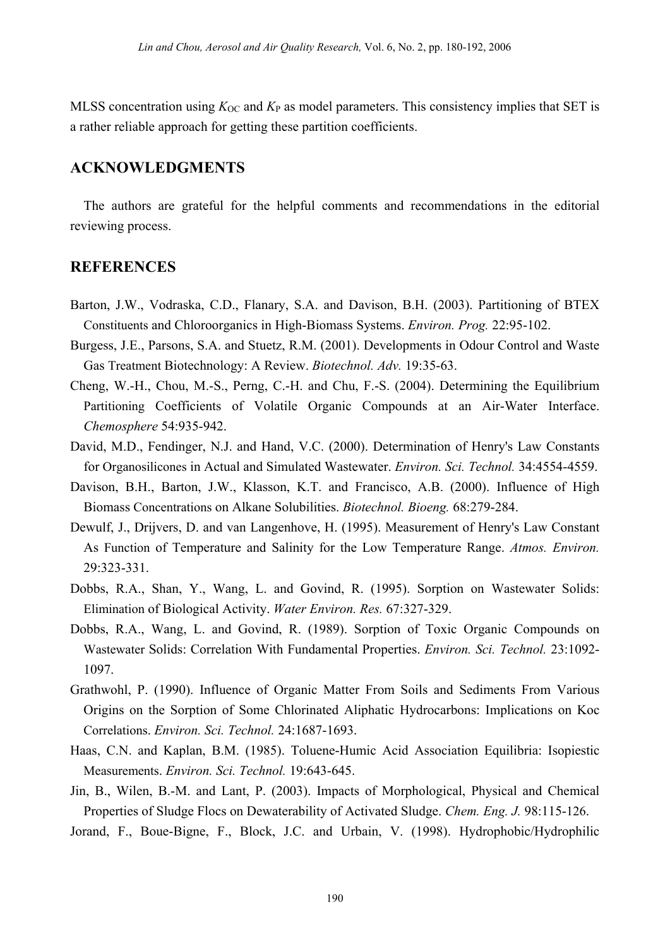MLSS concentration using  $K_{OC}$  and  $K_P$  as model parameters. This consistency implies that SET is a rather reliable approach for getting these partition coefficients.

#### **ACKNOWLEDGMENTS**

The authors are grateful for the helpful comments and recommendations in the editorial reviewing process.

#### **REFERENCES**

- Barton, J.W., Vodraska, C.D., Flanary, S.A. and Davison, B.H. (2003). Partitioning of BTEX Constituents and Chloroorganics in High-Biomass Systems. *Environ. Prog.* 22:95-102.
- Burgess, J.E., Parsons, S.A. and Stuetz, R.M. (2001). Developments in Odour Control and Waste Gas Treatment Biotechnology: A Review. *Biotechnol. Adv.* 19:35-63.
- Cheng, W.-H., Chou, M.-S., Perng, C.-H. and Chu, F.-S. (2004). Determining the Equilibrium Partitioning Coefficients of Volatile Organic Compounds at an Air-Water Interface. *Chemosphere* 54:935-942.
- David, M.D., Fendinger, N.J. and Hand, V.C. (2000). Determination of Henry's Law Constants for Organosilicones in Actual and Simulated Wastewater. *Environ. Sci. Technol.* 34:4554-4559.
- Davison, B.H., Barton, J.W., Klasson, K.T. and Francisco, A.B. (2000). Influence of High Biomass Concentrations on Alkane Solubilities. *Biotechnol. Bioeng.* 68:279-284.
- Dewulf, J., Drijvers, D. and van Langenhove, H. (1995). Measurement of Henry's Law Constant As Function of Temperature and Salinity for the Low Temperature Range. *Atmos. Environ.* 29:323-331.
- Dobbs, R.A., Shan, Y., Wang, L. and Govind, R. (1995). Sorption on Wastewater Solids: Elimination of Biological Activity. *Water Environ. Res.* 67:327-329.
- Dobbs, R.A., Wang, L. and Govind, R. (1989). Sorption of Toxic Organic Compounds on Wastewater Solids: Correlation With Fundamental Properties. *Environ. Sci. Technol.* 23:1092- 1097.
- Grathwohl, P. (1990). Influence of Organic Matter From Soils and Sediments From Various Origins on the Sorption of Some Chlorinated Aliphatic Hydrocarbons: Implications on Koc Correlations. *Environ. Sci. Technol.* 24:1687-1693.
- Haas, C.N. and Kaplan, B.M. (1985). Toluene-Humic Acid Association Equilibria: Isopiestic Measurements. *Environ. Sci. Technol.* 19:643-645.
- Jin, B., Wilen, B.-M. and Lant, P. (2003). Impacts of Morphological, Physical and Chemical Properties of Sludge Flocs on Dewaterability of Activated Sludge. *Chem. Eng. J.* 98:115-126.
- Jorand, F., Boue-Bigne, F., Block, J.C. and Urbain, V. (1998). Hydrophobic/Hydrophilic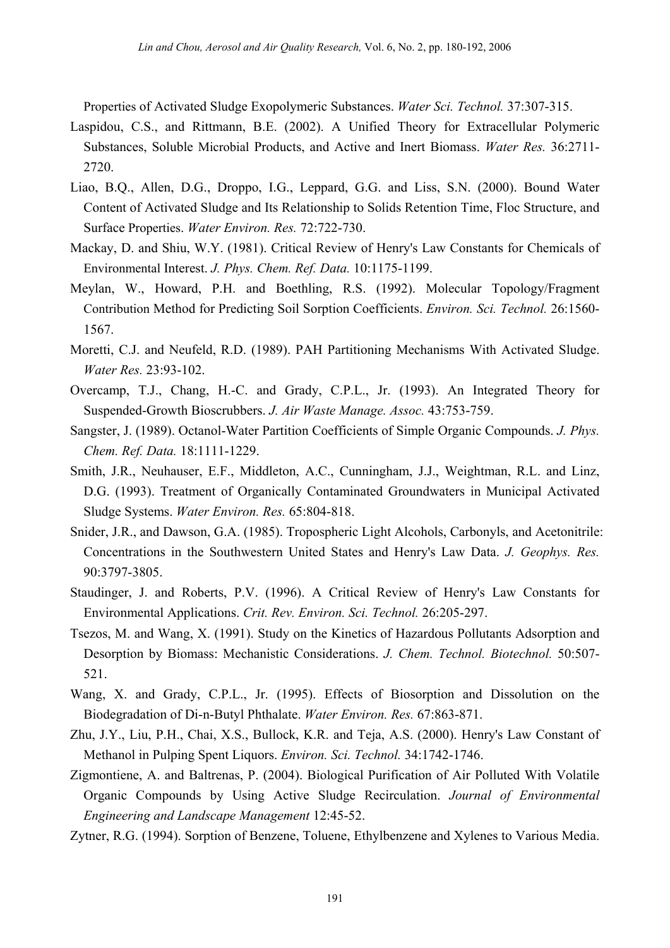Properties of Activated Sludge Exopolymeric Substances. *Water Sci. Technol.* 37:307-315.

- Laspidou, C.S., and Rittmann, B.E. (2002). A Unified Theory for Extracellular Polymeric Substances, Soluble Microbial Products, and Active and Inert Biomass. *Water Res.* 36:2711- 2720.
- Liao, B.Q., Allen, D.G., Droppo, I.G., Leppard, G.G. and Liss, S.N. (2000). Bound Water Content of Activated Sludge and Its Relationship to Solids Retention Time, Floc Structure, and Surface Properties. *Water Environ. Res.* 72:722-730.
- Mackay, D. and Shiu, W.Y. (1981). Critical Review of Henry's Law Constants for Chemicals of Environmental Interest. *J. Phys. Chem. Ref. Data.* 10:1175-1199.
- Meylan, W., Howard, P.H. and Boethling, R.S. (1992). Molecular Topology/Fragment Contribution Method for Predicting Soil Sorption Coefficients. *Environ. Sci. Technol.* 26:1560- 1567.
- Moretti, C.J. and Neufeld, R.D. (1989). PAH Partitioning Mechanisms With Activated Sludge. *Water Res.* 23:93-102.
- Overcamp, T.J., Chang, H.-C. and Grady, C.P.L., Jr. (1993). An Integrated Theory for Suspended-Growth Bioscrubbers. *J. Air Waste Manage. Assoc.* 43:753-759.
- Sangster, J. (1989). Octanol-Water Partition Coefficients of Simple Organic Compounds. *J. Phys. Chem. Ref. Data.* 18:1111-1229.
- Smith, J.R., Neuhauser, E.F., Middleton, A.C., Cunningham, J.J., Weightman, R.L. and Linz, D.G. (1993). Treatment of Organically Contaminated Groundwaters in Municipal Activated Sludge Systems. *Water Environ. Res.* 65:804-818.
- Snider, J.R., and Dawson, G.A. (1985). Tropospheric Light Alcohols, Carbonyls, and Acetonitrile: Concentrations in the Southwestern United States and Henry's Law Data. *J. Geophys. Res.* 90:3797-3805.
- Staudinger, J. and Roberts, P.V. (1996). A Critical Review of Henry's Law Constants for Environmental Applications. *Crit. Rev. Environ. Sci. Technol.* 26:205-297.
- Tsezos, M. and Wang, X. (1991). Study on the Kinetics of Hazardous Pollutants Adsorption and Desorption by Biomass: Mechanistic Considerations. *J. Chem. Technol. Biotechnol.* 50:507- 521.
- Wang, X. and Grady, C.P.L., Jr. (1995). Effects of Biosorption and Dissolution on the Biodegradation of Di-n-Butyl Phthalate. *Water Environ. Res.* 67:863-871.
- Zhu, J.Y., Liu, P.H., Chai, X.S., Bullock, K.R. and Teja, A.S. (2000). Henry's Law Constant of Methanol in Pulping Spent Liquors. *Environ. Sci. Technol.* 34:1742-1746.
- Zigmontiene, A. and Baltrenas, P. (2004). Biological Purification of Air Polluted With Volatile Organic Compounds by Using Active Sludge Recirculation. *Journal of Environmental Engineering and Landscape Management* 12:45-52.
- Zytner, R.G. (1994). Sorption of Benzene, Toluene, Ethylbenzene and Xylenes to Various Media.